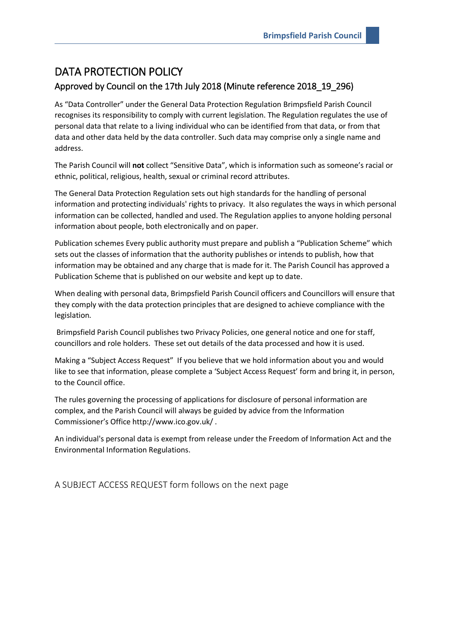## DATA PROTECTION POLICY

## Approved by Council on the 17th July 2018 (Minute reference 2018\_19\_296)

As "Data Controller" under the General Data Protection Regulation Brimpsfield Parish Council recognises its responsibility to comply with current legislation. The Regulation regulates the use of personal data that relate to a living individual who can be identified from that data, or from that data and other data held by the data controller. Such data may comprise only a single name and address.

The Parish Council will **not** collect "Sensitive Data", which is information such as someone's racial or ethnic, political, religious, health, sexual or criminal record attributes.

The General Data Protection Regulation sets out high standards for the handling of personal information and protecting individuals' rights to privacy. It also regulates the ways in which personal information can be collected, handled and used. The Regulation applies to anyone holding personal information about people, both electronically and on paper.

Publication schemes Every public authority must prepare and publish a "Publication Scheme" which sets out the classes of information that the authority publishes or intends to publish, how that information may be obtained and any charge that is made for it. The Parish Council has approved a Publication Scheme that is published on our website and kept up to date.

When dealing with personal data, Brimpsfield Parish Council officers and Councillors will ensure that they comply with the data protection principles that are designed to achieve compliance with the legislation.

Brimpsfield Parish Council publishes two Privacy Policies, one general notice and one for staff, councillors and role holders. These set out details of the data processed and how it is used.

Making a "Subject Access Request" If you believe that we hold information about you and would like to see that information, please complete a 'Subject Access Request' form and bring it, in person, to the Council office.

The rules governing the processing of applications for disclosure of personal information are complex, and the Parish Council will always be guided by advice from the Information Commissioner's Office http://www.ico.gov.uk/ .

An individual's personal data is exempt from release under the Freedom of Information Act and the Environmental Information Regulations.

A SUBJECT ACCESS REQUEST form follows on the next page